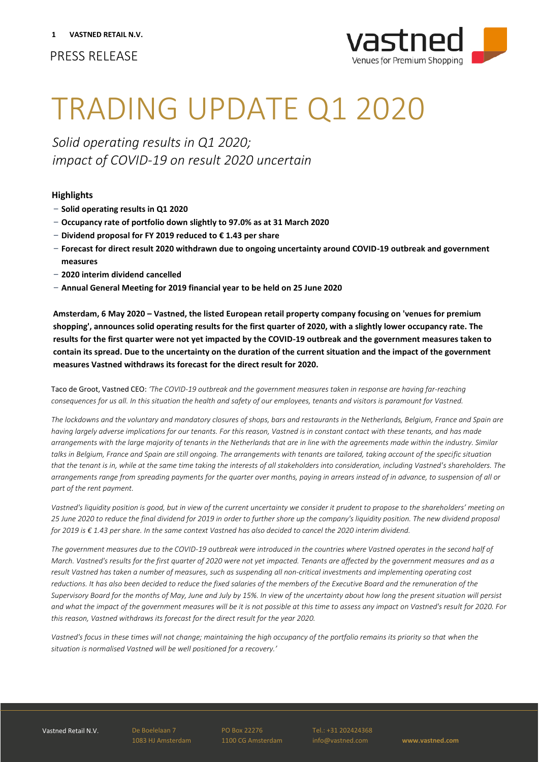

# TRADING UPDATE Q1 2020

*Solid operating results in Q1 2020; impact of COVID-19 on result 2020 uncertain* 

## **Highlights**

- ‒ **Solid operating results in Q1 2020**
- ‒ **Occupancy rate of portfolio down slightly to 97.0% as at 31 March 2020**
- ‒ **Dividend proposal for FY 2019 reduced to € 1.43 per share**
- ‒ **Forecast for direct result 2020 withdrawn due to ongoing uncertainty around COVID-19 outbreak and government measures**
- ‒ **2020 interim dividend cancelled**
- ‒ **Annual General Meeting for 2019 financial year to be held on 25 June 2020**

**Amsterdam, 6 May 2020 – Vastned, the listed European retail property company focusing on 'venues for premium shopping', announces solid operating results for the first quarter of 2020, with a slightly lower occupancy rate. The results for the first quarter were not yet impacted by the COVID-19 outbreak and the government measures taken to contain its spread. Due to the uncertainty on the duration of the current situation and the impact of the government measures Vastned withdraws its forecast for the direct result for 2020.**

Taco de Groot, Vastned CEO: *'The COVID-19 outbreak and the government measures taken in response are having far-reaching consequences for us all. In this situation the health and safety of our employees, tenants and visitors is paramount for Vastned.* 

*The lockdowns and the voluntary and mandatory closures of shops, bars and restaurants in the Netherlands, Belgium, France and Spain are having largely adverse implications for our tenants. For this reason, Vastned is in constant contact with these tenants, and has made arrangements with the large majority of tenants in the Netherlands that are in line with the agreements made within the industry. Similar talks in Belgium, France and Spain are still ongoing. The arrangements with tenants are tailored, taking account of the specific situation that the tenant is in, while at the same time taking the interests of all stakeholders into consideration, including Vastned's shareholders. The arrangements range from spreading payments for the quarter over months, paying in arrears instead of in advance, to suspension of all or part of the rent payment.* 

*Vastned's liquidity position is good, but in view of the current uncertainty we consider it prudent to propose to the shareholders' meeting on 25 June 2020 to reduce the final dividend for 2019 in order to further shore up the company's liquidity position. The new dividend proposal for 2019 is € 1.43 per share. In the same context Vastned has also decided to cancel the 2020 interim dividend.* 

*The government measures due to the COVID-19 outbreak were introduced in the countries where Vastned operates in the second half of March. Vastned's results for the first quarter of 2020 were not yet impacted. Tenants are affected by the government measures and as a result Vastned has taken a number of measures, such as suspending all non-critical investments and implementing operating cost*  reductions. It has also been decided to reduce the fixed salaries of the members of the Executive Board and the remuneration of the *Supervisory Board for the months of May, June and July by 15%. In view of the uncertainty about how long the present situation will persist and what the impact of the government measures will be it is not possible at this time to assess any impact on Vastned's result for 2020. For this reason, Vastned withdraws its forecast for the direct result for the year 2020.* 

Vastned's focus in these times will not change; maintaining the high occupancy of the portfolio remains its priority so that when the *situation is normalised Vastned will be well positioned for a recovery.'* 

Vastned Retail N.V.

De Boelelaan 7 1083 HJ Amsterdam PO Box 22276 1100 CG Amsterdam Tel.: +31 202424368 info@vastned.com

**www.vastned.com**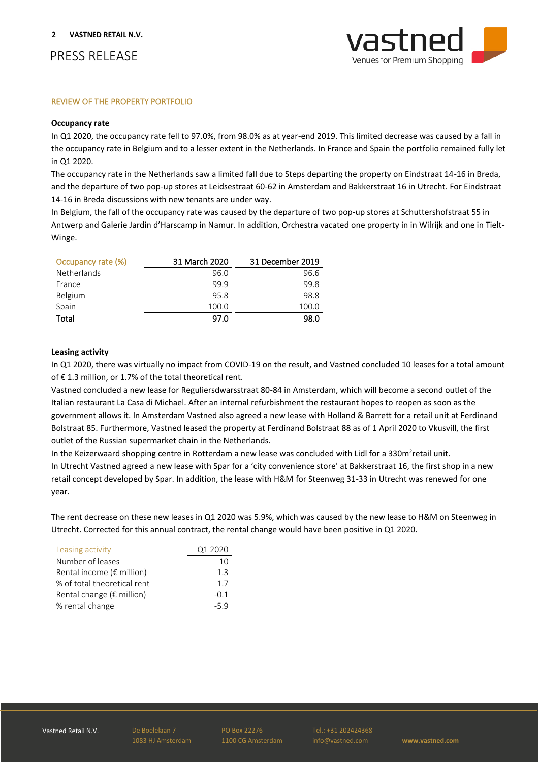

#### REVIEW OF THE PROPERTY PORTFOLIO

#### **Occupancy rate**

In Q1 2020, the occupancy rate fell to 97.0%, from 98.0% as at year-end 2019. This limited decrease was caused by a fall in the occupancy rate in Belgium and to a lesser extent in the Netherlands. In France and Spain the portfolio remained fully let in Q1 2020.

The occupancy rate in the Netherlands saw a limited fall due to Steps departing the property on Eindstraat 14-16 in Breda, and the departure of two pop-up stores at Leidsestraat 60-62 in Amsterdam and Bakkerstraat 16 in Utrecht. For Eindstraat 14-16 in Breda discussions with new tenants are under way.

In Belgium, the fall of the occupancy rate was caused by the departure of two pop-up stores at Schuttershofstraat 55 in Antwerp and Galerie Jardin d'Harscamp in Namur. In addition, Orchestra vacated one property in in Wilrijk and one in Tielt-Winge.

| Occupancy rate (%) | 31 March 2020 | 31 December 2019 |
|--------------------|---------------|------------------|
| <b>Netherlands</b> | 96.0          | 96.6             |
| France             | 99.9          | 99.8             |
| Belgium            | 95.8          | 98.8             |
| Spain              | 100.0         | 100.0            |
| Total              | 97.0          | 98.0             |

#### **Leasing activity**

In Q1 2020, there was virtually no impact from COVID-19 on the result, and Vastned concluded 10 leases for a total amount of € 1.3 million, or 1.7% of the total theoretical rent.

Vastned concluded a new lease for Reguliersdwarsstraat 80-84 in Amsterdam, which will become a second outlet of the Italian restaurant La Casa di Michael. After an internal refurbishment the restaurant hopes to reopen as soon as the government allows it. In Amsterdam Vastned also agreed a new lease with Holland & Barrett for a retail unit at Ferdinand Bolstraat 85. Furthermore, Vastned leased the property at Ferdinand Bolstraat 88 as of 1 April 2020 to Vkusvill, the first outlet of the Russian supermarket chain in the Netherlands.

In the Keizerwaard shopping centre in Rotterdam a new lease was concluded with Lidl for a 330m<sup>2</sup>retail unit. In Utrecht Vastned agreed a new lease with Spar for a 'city convenience store' at Bakkerstraat 16, the first shop in a new retail concept developed by Spar. In addition, the lease with H&M for Steenweg 31-33 in Utrecht was renewed for one year.

The rent decrease on these new leases in Q1 2020 was 5.9%, which was caused by the new lease to H&M on Steenweg in Utrecht. Corrected for this annual contract, the rental change would have been positive in Q1 2020.

| Leasing activity                    | Q1 2020 |
|-------------------------------------|---------|
| Number of leases                    | 10      |
| Rental income ( $\epsilon$ million) | 1.3     |
| % of total theoretical rent         | 17      |
| Rental change ( $\epsilon$ million) | $-0.1$  |
| % rental change                     | $-59$   |

De Boelelaan 7 1083 HJ Amsterdam PO Box 22276 1100 CG Amsterdam Tel.: +31 202424368 info@vastned.com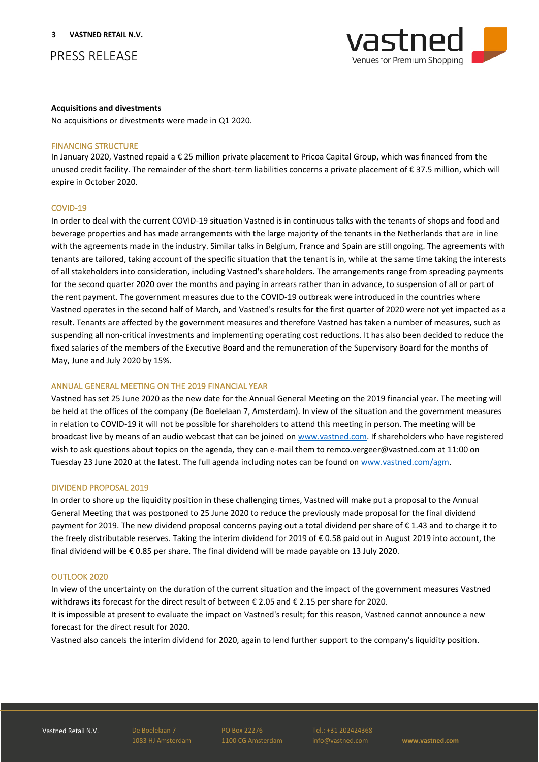

#### **Acquisitions and divestments**

No acquisitions or divestments were made in Q1 2020.

#### FINANCING STRUCTURE

In January 2020, Vastned repaid a € 25 million private placement to Pricoa Capital Group, which was financed from the unused credit facility. The remainder of the short-term liabilities concerns a private placement of € 37.5 million, which will expire in October 2020.

#### COVID-19

In order to deal with the current COVID-19 situation Vastned is in continuous talks with the tenants of shops and food and beverage properties and has made arrangements with the large majority of the tenants in the Netherlands that are in line with the agreements made in the industry. Similar talks in Belgium, France and Spain are still ongoing. The agreements with tenants are tailored, taking account of the specific situation that the tenant is in, while at the same time taking the interests of all stakeholders into consideration, including Vastned's shareholders. The arrangements range from spreading payments for the second quarter 2020 over the months and paying in arrears rather than in advance, to suspension of all or part of the rent payment. The government measures due to the COVID-19 outbreak were introduced in the countries where Vastned operates in the second half of March, and Vastned's results for the first quarter of 2020 were not yet impacted as a result. Tenants are affected by the government measures and therefore Vastned has taken a number of measures, such as suspending all non-critical investments and implementing operating cost reductions. It has also been decided to reduce the fixed salaries of the members of the Executive Board and the remuneration of the Supervisory Board for the months of May, June and July 2020 by 15%.

#### ANNUAL GENERAL MEETING ON THE 2019 FINANCIAL YEAR

Vastned has set 25 June 2020 as the new date for the Annual General Meeting on the 2019 financial year. The meeting will be held at the offices of the company (De Boelelaan 7, Amsterdam). In view of the situation and the government measures in relation to COVID-19 it will not be possible for shareholders to attend this meeting in person. The meeting will be broadcast live by means of an audio webcast that can be joined on [www.vastned.com.](http://www.vastned.com/) If shareholders who have registered wish to ask questions about topics on the agenda, they can e-mail them to remco.vergeer@vastned.com at 11:00 on Tuesday 23 June 2020 at the latest. The full agenda including notes can be found on [www.vastned.com/agm.](http://www.vastned.com/agm) 

#### DIVIDEND PROPOSAL 2019

In order to shore up the liquidity position in these challenging times, Vastned will make put a proposal to the Annual General Meeting that was postponed to 25 June 2020 to reduce the previously made proposal for the final dividend payment for 2019. The new dividend proposal concerns paying out a total dividend per share of € 1.43 and to charge it to the freely distributable reserves. Taking the interim dividend for 2019 of € 0.58 paid out in August 2019 into account, the final dividend will be € 0.85 per share. The final dividend will be made payable on 13 July 2020.

#### OUTLOOK 2020

In view of the uncertainty on the duration of the current situation and the impact of the government measures Vastned withdraws its forecast for the direct result of between € 2.05 and € 2.15 per share for 2020. It is impossible at present to evaluate the impact on Vastned's result; for this reason, Vastned cannot announce a new forecast for the direct result for 2020.

Vastned also cancels the interim dividend for 2020, again to lend further support to the company's liquidity position.

Vastned Retail N.V.

i

De Boelelaan 7 1083 HJ Amsterdam PO Box 22276

Tel.: +31 202424368 info@vastned.com

**www.vastned.com**